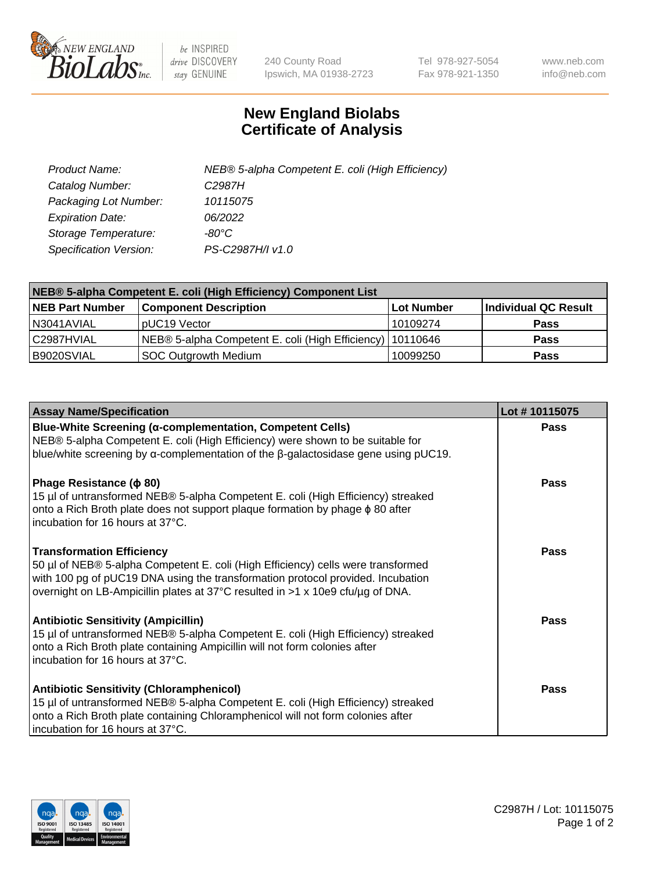

 $be$  INSPIRED drive DISCOVERY stay GENUINE

240 County Road Ipswich, MA 01938-2723 Tel 978-927-5054 Fax 978-921-1350 www.neb.com info@neb.com

## **New England Biolabs Certificate of Analysis**

| Product Name:                 | NEB® 5-alpha Competent E. coli (High Efficiency) |
|-------------------------------|--------------------------------------------------|
| Catalog Number:               | C <sub>2987</sub> H                              |
| Packaging Lot Number:         | 10115075                                         |
| <b>Expiration Date:</b>       | 06/2022                                          |
| Storage Temperature:          | -80°C                                            |
| <b>Specification Version:</b> | PS-C2987H/I v1.0                                 |

| NEB® 5-alpha Competent E. coli (High Efficiency) Component List |                                                             |            |                      |  |
|-----------------------------------------------------------------|-------------------------------------------------------------|------------|----------------------|--|
| <b>NEB Part Number</b>                                          | <b>Component Description</b>                                | Lot Number | Individual QC Result |  |
| N3041AVIAL                                                      | pUC19 Vector                                                | 10109274   | <b>Pass</b>          |  |
| C2987HVIAL                                                      | NEB® 5-alpha Competent E. coli (High Efficiency)   10110646 |            | <b>Pass</b>          |  |
| B9020SVIAL                                                      | SOC Outgrowth Medium                                        | 10099250   | <b>Pass</b>          |  |

| <b>Assay Name/Specification</b>                                                                                                                                                                                                                                                           | Lot #10115075 |
|-------------------------------------------------------------------------------------------------------------------------------------------------------------------------------------------------------------------------------------------------------------------------------------------|---------------|
| Blue-White Screening (α-complementation, Competent Cells)<br>NEB® 5-alpha Competent E. coli (High Efficiency) were shown to be suitable for<br>blue/white screening by $\alpha$ -complementation of the $\beta$ -galactosidase gene using pUC19.                                          | Pass          |
| Phage Resistance ( $\phi$ 80)<br>15 µl of untransformed NEB® 5-alpha Competent E. coli (High Efficiency) streaked<br>onto a Rich Broth plate does not support plaque formation by phage $\phi$ 80 after<br>Incubation for 16 hours at 37°C.                                               | Pass          |
| <b>Transformation Efficiency</b><br>50 µl of NEB® 5-alpha Competent E. coli (High Efficiency) cells were transformed<br>with 100 pg of pUC19 DNA using the transformation protocol provided. Incubation<br>overnight on LB-Ampicillin plates at 37°C resulted in >1 x 10e9 cfu/µg of DNA. | Pass          |
| <b>Antibiotic Sensitivity (Ampicillin)</b><br>15 µl of untransformed NEB® 5-alpha Competent E. coli (High Efficiency) streaked<br>onto a Rich Broth plate containing Ampicillin will not form colonies after<br>incubation for 16 hours at 37°C.                                          | <b>Pass</b>   |
| <b>Antibiotic Sensitivity (Chloramphenicol)</b><br>15 µl of untransformed NEB® 5-alpha Competent E. coli (High Efficiency) streaked<br>onto a Rich Broth plate containing Chloramphenicol will not form colonies after<br>incubation for 16 hours at 37°C.                                | Pass          |